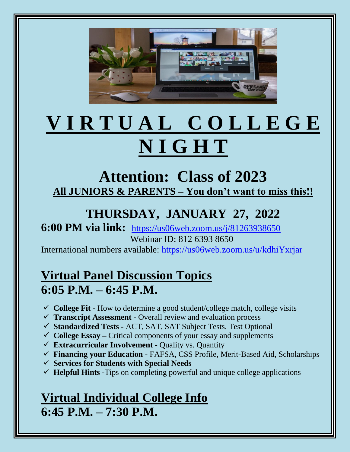

# **V I R T U A L C O L L E G E N I G H T**

## **Attention: Class of 2023 All JUNIORS & PARENTS – You don't want to miss this!!**

## **THURSDAY, JANUARY 27, 2022**

#### **6:00 PM via link:** <https://us06web.zoom.us/j/81263938650> Webinar ID: 812 6393 8650

International numbers available:<https://us06web.zoom.us/u/kdhiYxrjar>

### **Virtual Panel Discussion Topics 6:05 P.M. – 6:45 P.M.**

- ✓ **College Fit -** How to determine a good student/college match, college visits
- ✓ **Transcript Assessment -** Overall review and evaluation process
- ✓ **Standardized Tests -** ACT, SAT, SAT Subject Tests, Test Optional
- ✓ **College Essay –** Critical components of your essay and supplements
- ✓ **Extracurricular Involvement -** Quality vs. Quantity
- ✓ **Financing your Education -** FAFSA, CSS Profile, Merit-Based Aid, Scholarships
- ✓ **Services for Students with Special Needs**
- ✓ **Helpful Hints -**Tips on completing powerful and unique college applications

## **Virtual Individual College Info 6:45 P.M. – 7:30 P.M.**